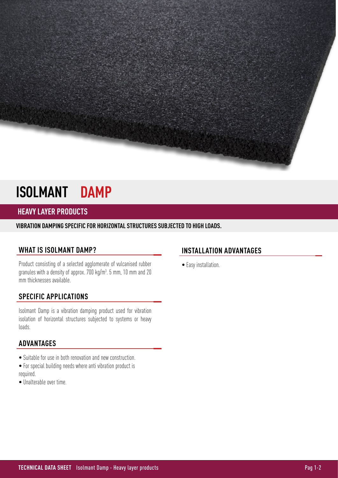# **ISOLMANT DAMP**

# **HEAVY LAYER PRODUCTS**

**VIBRATION DAMPING SPECIFIC FOR HORIZONTAL STRUCTURES SUBJECTED TO HIGH LOADS.** 

## **WHAT IS ISOLMANT DAMP?**

Product consisting of a selected agglomerate of vulcanised rubber granules with a density of approx. 700 kg/m<sup>3</sup>. 5 mm, 10 mm and 20 mm thicknesses available.

## **SPECIFIC APPLICATIONS**

Isolmant Damp is a vibration damping product used for vibration isolation of horizontal structures subjected to systems or heavy loads.

#### **ADVANTAGES**

- Suitable for use in both renovation and new construction.
- For special building needs where anti vibration product is required.
- Unalterable over time.

## **INSTALLATION ADVANTAGES**

• Easy installation.